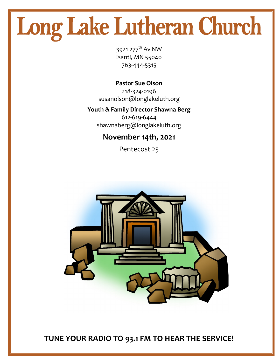# Long Lake Lutheran Church

3921 277<sup>th</sup> Av NW Isanti, MN 55040 763-444-5315

**Pastor Sue Olson** 218-324-0196 susanolson@longlakeluth.org

#### **Youth & Family Director Shawna Berg**

612-619-6444 shawnaberg@longlakeluth.org

#### **November 14th, 2021**

Pentecost 25



**TUNE YOUR RADIO TO 93.1 FM TO HEAR THE SERVICE!**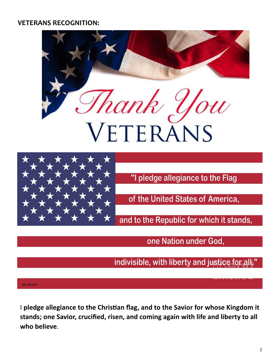#### **VETERANS RECOGNITION:**





"I pledge allegiance to the Flag

of the United States of America,

and to the Republic for which it stands,

one Nation under God,

indivisible, with liberty and justice for all."

#### WEINSTOCKART

I **pledge allegiance to the Christian flag, and to the Savior for whose Kingdom it stands; one Savior, crucified, risen, and coming again with life and liberty to all who believe**.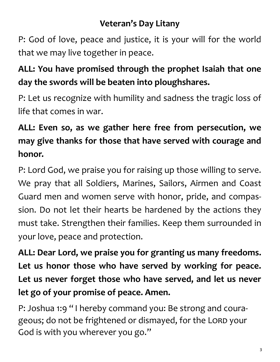## **Veteran's Day Litany**

P: God of love, peace and justice, it is your will for the world that we may live together in peace.

## **ALL: You have promised through the prophet Isaiah that one day the swords will be beaten into ploughshares.**

P: Let us recognize with humility and sadness the tragic loss of life that comes in war.

## **ALL: Even so, as we gather here free from persecution, we may give thanks for those that have served with courage and honor.**

P: Lord God, we praise you for raising up those willing to serve. We pray that all Soldiers, Marines, Sailors, Airmen and Coast Guard men and women serve with honor, pride, and compassion. Do not let their hearts be hardened by the actions they must take. Strengthen their families. Keep them surrounded in your love, peace and protection.

**ALL: Dear Lord, we praise you for granting us many freedoms. Let us honor those who have served by working for peace. Let us never forget those who have served, and let us never let go of your promise of peace. Amen.**

P: Joshua 1:9 " I hereby command you: Be strong and courageous; do not be frightened or dismayed, for the LORD your God is with you wherever you go."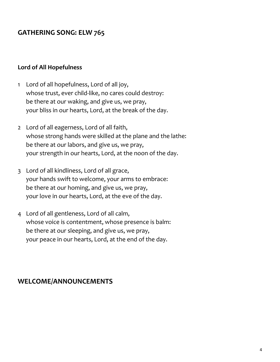#### **GATHERING SONG: ELW 765**

#### **Lord of All Hopefulness**

- 1 Lord of all hopefulness, Lord of all joy, whose trust, ever child-like, no cares could destroy: be there at our waking, and give us, we pray, your bliss in our hearts, Lord, at the break of the day.
- 2 Lord of all eagerness, Lord of all faith, whose strong hands were skilled at the plane and the lathe: be there at our labors, and give us, we pray, your strength in our hearts, Lord, at the noon of the day.
- 3 Lord of all kindliness, Lord of all grace, your hands swift to welcome, your arms to embrace: be there at our homing, and give us, we pray, your love in our hearts, Lord, at the eve of the day.
- 4 Lord of all gentleness, Lord of all calm, whose voice is contentment, whose presence is balm: be there at our sleeping, and give us, we pray, your peace in our hearts, Lord, at the end of the day.

#### **WELCOME/ANNOUNCEMENTS**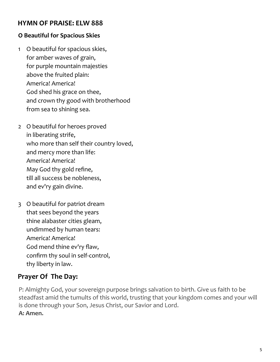#### **HYMN OF PRAISE: ELW 888**

#### **O Beautiful for Spacious Skies**

- 1 O beautiful for spacious skies, for amber waves of grain, for purple mountain majesties above the fruited plain: America! America! God shed his grace on thee, and crown thy good with brotherhood from sea to shining sea.
- 2 O beautiful for heroes proved in liberating strife, who more than self their country loved, and mercy more than life: America! America! May God thy gold refine, till all success be nobleness, and ev'ry gain divine.
- 3 O beautiful for patriot dream that sees beyond the years thine alabaster cities gleam, undimmed by human tears: America! America! God mend thine ev'ry flaw, confirm thy soul in self-control, thy liberty in law.

#### **Prayer Of The Day:**

P: Almighty God, your sovereign purpose brings salvation to birth. Give us faith to be steadfast amid the tumults of this world, trusting that your kingdom comes and your will is done through your Son, Jesus Christ, our Savior and Lord. **A: Amen.**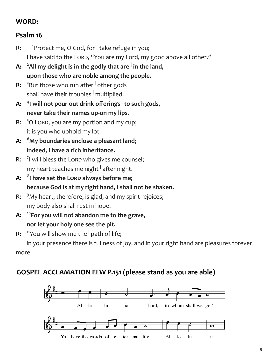#### **WORD:**

#### **Psalm 16**

- $R:$ <sup>1</sup> Protect me, O God, for I take refuge in you; I have said to the LORD, "You are my Lord, my good above all other."
- **A:** <sup>2</sup>**All my delight is in the godly that are <sup>|</sup> in the land, upon those who are noble among the people.**
- R: <sup>3</sup>But those who run after <sup>|</sup> other gods shall have their troubles  $\frac{1}{2}$  multiplied.
- **A:** <sup>4</sup> **I will not pour out drink offerings <sup>|</sup> to such gods, never take their names up-on my lips.**
- R:  $50$  Lord, you are my portion and my cup; it is you who uphold my lot.
- **A:** <sup>6</sup>**My boundaries enclose a pleasant land; indeed, I have a rich inheritance.**
- R: <sup>7</sup>I will bless the Lord who gives me counsel; my heart teaches me night  $^\|$  after night.
- **A:** <sup>8</sup> **I have set the Lord always before me; because God is at my right hand, I shall not be shaken.**
- R:  $9$ My heart, therefore, is glad, and my spirit rejoices; my body also shall rest in hope.
- **A:** <sup>10</sup>**For you will not abandon me to the grave, nor let your holy one see the pit.**
- R: <sup>11</sup>You will show me the <sup>|</sup> path of life;

 in your presence there is fullness of joy, and in your right hand are pleasures forever more.

#### **GOSPEL ACCLAMATION ELW P.151 (please stand as you are able)**

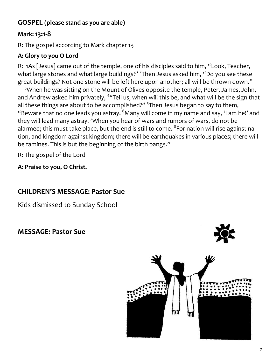#### **GOSPEL (please stand as you are able)**

#### **Mark: 13:1-8**

R: The gospel according to Mark chapter 13

#### **A: Glory to you O Lord**

R: 1As [Jesus] came out of the temple, one of his disciples said to him, "Look, Teacher, what large stones and what large buildings!" <sup>2</sup>Then Jesus asked him, "Do you see these great buildings? Not one stone will be left here upon another; all will be thrown down."

<sup>3</sup>When he was sitting on the Mount of Olives opposite the temple, Peter, James, John, and Andrew asked him privately, <sup>4</sup>"Tell us, when will this be, and what will be the sign that all these things are about to be accomplished?"<sup>5</sup>Then Jesus began to say to them, "Beware that no one leads you astray.  $6$ Many will come in my name and say, 'I am he!' and they will lead many astray. <sup>7</sup>When you hear of wars and rumors of wars, do not be alarmed; this must take place, but the end is still to come.  $^8$ For nation will rise against nation, and kingdom against kingdom; there will be earthquakes in various places; there will be famines. This is but the beginning of the birth pangs."

R: The gospel of the Lord

**A: Praise to you, O Christ.** 

#### **CHILDREN'S MESSAGE: Pastor Sue**

Kids dismissed to Sunday School

**MESSAGE: Pastor Sue** 

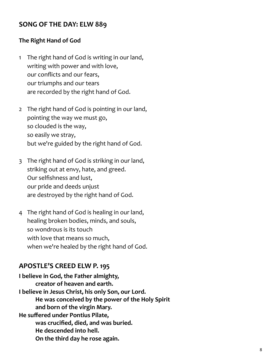#### **SONG OF THE DAY: ELW 889**

#### **The Right Hand of God**

- 1 The right hand of God is writing in our land, writing with power and with love, our conflicts and our fears, our triumphs and our tears are recorded by the right hand of God.
- 2 The right hand of God is pointing in our land, pointing the way we must go, so clouded is the way, so easily we stray, but we're guided by the right hand of God.
- 3 The right hand of God is striking in our land, striking out at envy, hate, and greed. Our selfishness and lust, our pride and deeds unjust are destroyed by the right hand of God.
- 4 The right hand of God is healing in our land, healing broken bodies, minds, and souls, so wondrous is its touch with love that means so much, when we're healed by the right hand of God.

#### **APOSTLE'S CREED ELW P. 195**

**I believe in God, the Father almighty, creator of heaven and earth. I believe in Jesus Christ, his only Son, our Lord. He was conceived by the power of the Holy Spirit and born of the virgin Mary. He suffered under Pontius Pilate, was crucified, died, and was buried. He descended into hell. On the third day he rose again.**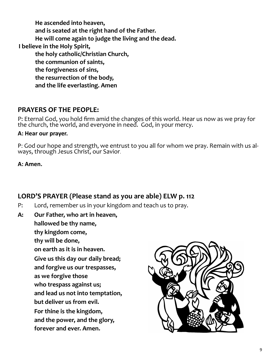**He ascended into heaven, and is seated at the right hand of the Father. He will come again to judge the living and the dead. I believe in the Holy Spirit, the holy catholic/Christian Church, the communion of saints, the forgiveness of sins, the resurrection of the body, and the life everlasting. Amen**

#### **PRAYERS OF THE PEOPLE:**

P: Eternal God, you hold firm amid the changes of this world. Hear us now as we pray for the church, the world, and everyone in need. God, in your mercy.

#### **A: Hear our prayer.**

P: God our hope and strength, we entrust to you all for whom we pray. Remain with us always, through Jesus Christ, our Savior.

#### **A: Amen.**

#### **LORD'S PRAYER (Please stand as you are able) ELW p. 112**

- P: Lord, remember us in your kingdom and teach us to pray.
- **A: Our Father, who art in heaven,**

**hallowed be thy name, thy kingdom come, thy will be done, on earth as it is in heaven. Give us this day our daily bread; and forgive us our trespasses, as we forgive those who trespass against us; and lead us not into temptation, but deliver us from evil. For thine is the kingdom, and the power, and the glory, forever and ever. Amen.**

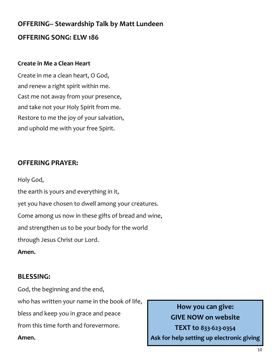## **OFFERING– Stewardship Talk by Matt Lundeen OFFERING SONG: ELW 186**

#### **Create in Me a Clean Heart**

Create in me a clean heart, O God, and renew a right spirit within me. Cast me not away from your presence, and take not your Holy Spirit from me. Restore to me the joy of your salvation, and uphold me with your free Spirit.

#### **OFFERING PRAYER:**

Holy God, the earth is yours and everything in it, yet you have chosen to dwell among your creatures. Come among us now in these gifts of bread and wine, and strengthen us to be your body for the world through Jesus Christ our Lord.

**Amen.**

#### **BLESSING:**

God, the beginning and the end,

who has written your name in the book of life,

bless and keep you in grace and peace

from this time forth and forevermore.

**Amen.**

**How you can give: GIVE NOW on website TEXT to 833-623-0354 Ask for help setting up electronic giving**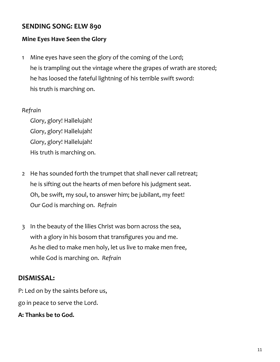#### **SENDING SONG: ELW 890**

#### **Mine Eyes Have Seen the Glory**

1 Mine eyes have seen the glory of the coming of the Lord; he is trampling out the vintage where the grapes of wrath are stored; he has loosed the fateful lightning of his terrible swift sword: his truth is marching on.

#### *Refrain*

Glory, glory! Hallelujah! Glory, glory! Hallelujah! Glory, glory! Hallelujah! His truth is marching on.

- 2 He has sounded forth the trumpet that shall never call retreat; he is sifting out the hearts of men before his judgment seat. Oh, be swift, my soul, to answer him; be jubilant, my feet! Our God is marching on. *Refrain*
- 3 In the beauty of the lilies Christ was born across the sea, with a glory in his bosom that transfigures you and me. As he died to make men holy, let us live to make men free, while God is marching on. *Refrain*

#### **DISMISSAL:**

P: Led on by the saints before us,

go in peace to serve the Lord.

**A: Thanks be to God.**